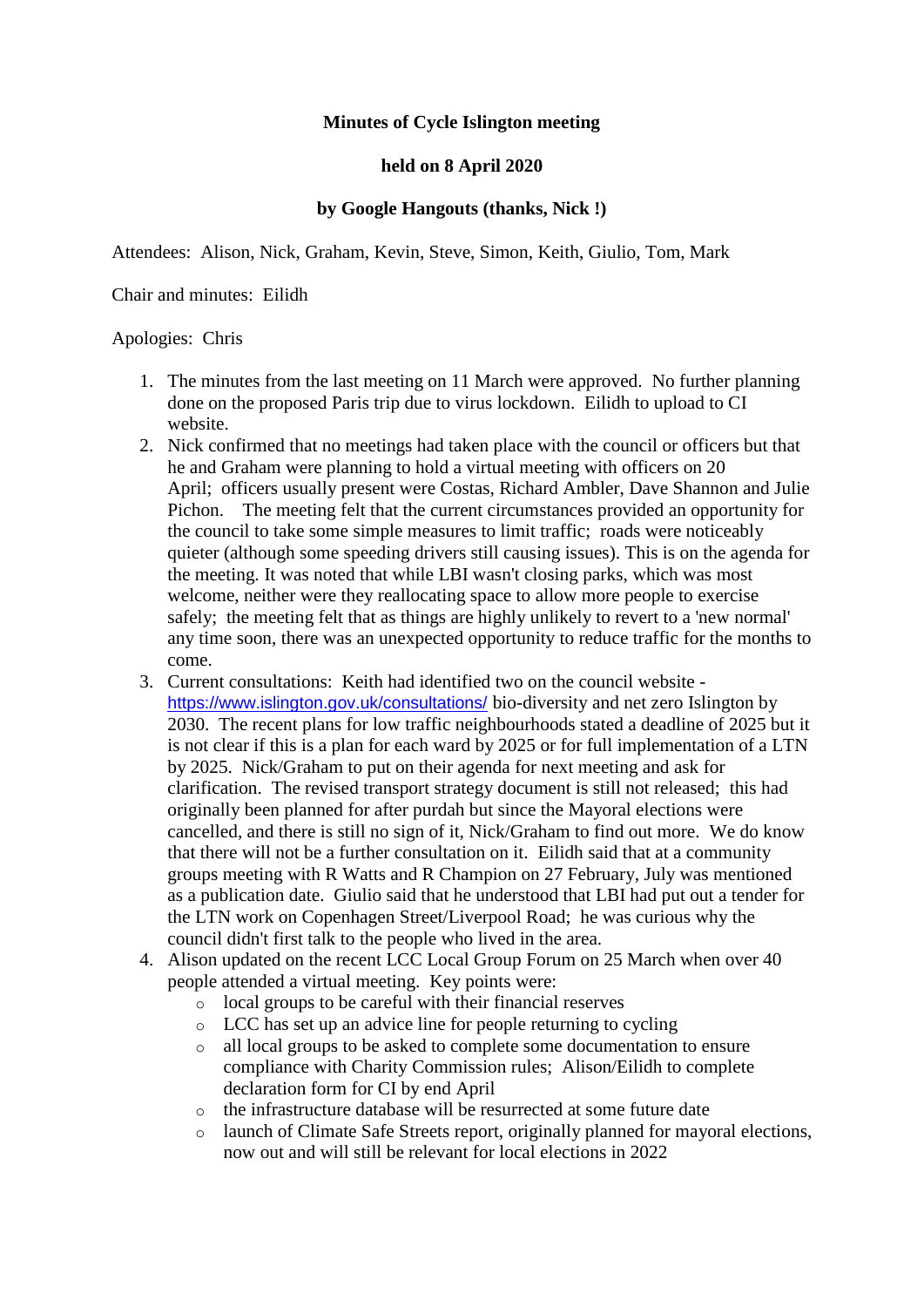## **Minutes of Cycle Islington meeting**

## **held on 8 April 2020**

## **by Google Hangouts (thanks, Nick !)**

Attendees: Alison, Nick, Graham, Kevin, Steve, Simon, Keith, Giulio, Tom, Mark

Chair and minutes: Eilidh

#### Apologies: Chris

- 1. The minutes from the last meeting on 11 March were approved. No further planning done on the proposed Paris trip due to virus lockdown. Eilidh to upload to CI website.
- 2. Nick confirmed that no meetings had taken place with the council or officers but that he and Graham were planning to hold a virtual meeting with officers on 20 April; officers usually present were Costas, Richard Ambler, Dave Shannon and Julie Pichon. The meeting felt that the current circumstances provided an opportunity for the council to take some simple measures to limit traffic; roads were noticeably quieter (although some speeding drivers still causing issues). This is on the agenda for the meeting. It was noted that while LBI wasn't closing parks, which was most welcome, neither were they reallocating space to allow more people to exercise safely; the meeting felt that as things are highly unlikely to revert to a 'new normal' any time soon, there was an unexpected opportunity to reduce traffic for the months to come.
- 3. Current consultations: Keith had identified two on the council website <https://www.islington.gov.uk/consultations/> bio-diversity and net zero Islington by 2030. The recent plans for low traffic neighbourhoods stated a deadline of 2025 but it is not clear if this is a plan for each ward by 2025 or for full implementation of a LTN by 2025. Nick/Graham to put on their agenda for next meeting and ask for clarification. The revised transport strategy document is still not released; this had originally been planned for after purdah but since the Mayoral elections were cancelled, and there is still no sign of it, Nick/Graham to find out more. We do know that there will not be a further consultation on it. Eilidh said that at a community groups meeting with R Watts and R Champion on 27 February, July was mentioned as a publication date. Giulio said that he understood that LBI had put out a tender for the LTN work on Copenhagen Street/Liverpool Road; he was curious why the council didn't first talk to the people who lived in the area.
- 4. Alison updated on the recent LCC Local Group Forum on 25 March when over 40 people attended a virtual meeting. Key points were:
	- o local groups to be careful with their financial reserves
	- o LCC has set up an advice line for people returning to cycling
	- o all local groups to be asked to complete some documentation to ensure compliance with Charity Commission rules; Alison/Eilidh to complete declaration form for CI by end April
	- o the infrastructure database will be resurrected at some future date
	- o launch of Climate Safe Streets report, originally planned for mayoral elections, now out and will still be relevant for local elections in 2022